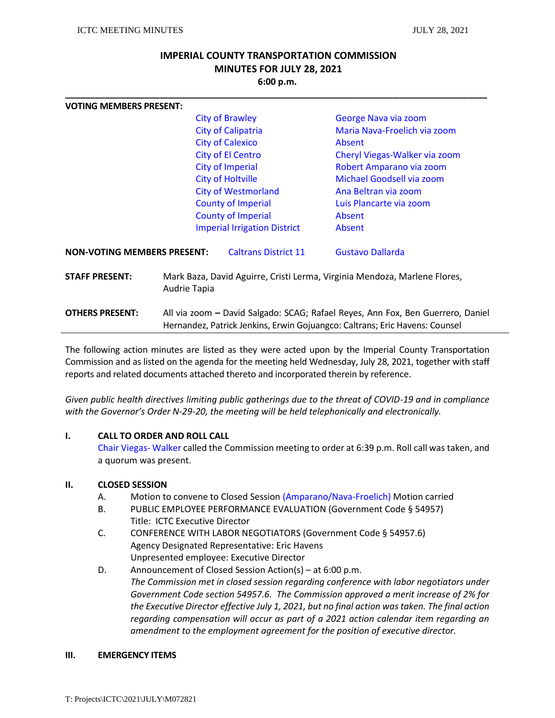# **IMPERIAL COUNTY TRANSPORTATION COMMISSION MINUTES FOR JULY 28, 2021 6:00 p.m.**

**\_\_\_\_\_\_\_\_\_\_\_\_\_\_\_\_\_\_\_\_\_\_\_\_\_\_\_\_\_\_\_\_\_\_\_\_\_\_\_\_\_\_\_\_\_\_\_\_\_\_\_\_\_\_\_\_\_\_\_\_\_\_\_\_\_\_\_\_\_\_\_\_\_\_\_\_\_\_\_\_\_\_\_\_\_**

| <b>VOTING MEMBERS PRESENT:</b>     |                                                                                                                                                                |                                     |                               |  |
|------------------------------------|----------------------------------------------------------------------------------------------------------------------------------------------------------------|-------------------------------------|-------------------------------|--|
|                                    |                                                                                                                                                                | <b>City of Brawley</b>              | George Nava via zoom          |  |
|                                    |                                                                                                                                                                | <b>City of Calipatria</b>           | Maria Nava-Froelich via zoom  |  |
|                                    |                                                                                                                                                                | <b>City of Calexico</b>             | Absent                        |  |
|                                    |                                                                                                                                                                | <b>City of El Centro</b>            | Cheryl Viegas-Walker via zoom |  |
|                                    |                                                                                                                                                                | City of Imperial                    | Robert Amparano via zoom      |  |
|                                    |                                                                                                                                                                | <b>City of Holtville</b>            | Michael Goodsell via zoom     |  |
|                                    |                                                                                                                                                                | <b>City of Westmorland</b>          | Ana Beltran via zoom          |  |
|                                    |                                                                                                                                                                | <b>County of Imperial</b>           | Luis Plancarte via zoom       |  |
|                                    |                                                                                                                                                                | <b>County of Imperial</b>           | Absent                        |  |
|                                    |                                                                                                                                                                | <b>Imperial Irrigation District</b> | Absent                        |  |
| <b>NON-VOTING MEMBERS PRESENT:</b> |                                                                                                                                                                | <b>Caltrans District 11</b>         | Gustavo Dallarda              |  |
| <b>STAFF PRESENT:</b>              | Mark Baza, David Aguirre, Cristi Lerma, Virginia Mendoza, Marlene Flores,<br>Audrie Tapia                                                                      |                                     |                               |  |
| <b>OTHERS PRESENT:</b>             | All via zoom - David Salgado: SCAG; Rafael Reyes, Ann Fox, Ben Guerrero, Daniel<br>Hernandez, Patrick Jenkins, Erwin Gojuangco: Caltrans; Eric Havens: Counsel |                                     |                               |  |

The following action minutes are listed as they were acted upon by the Imperial County Transportation Commission and as listed on the agenda for the meeting held Wednesday, July 28, 2021, together with staff reports and related documents attached thereto and incorporated therein by reference.

*Given public health directives limiting public gatherings due to the threat of COVID-19 and in compliance with the Governor's Order N-29-20, the meeting will be held telephonically and electronically.* 

#### **I. CALL TO ORDER AND ROLL CALL**

Chair Viegas- Walker called the Commission meeting to order at 6:39 p.m. Roll call was taken, and a quorum was present.

#### **II. CLOSED SESSION**

- A. Motion to convene to Closed Session (Amparano/Nava-Froelich) Motion carried
- B. PUBLIC EMPLOYEE PERFORMANCE EVALUATION (Government Code § 54957) Title: ICTC Executive Director
- C. CONFERENCE WITH LABOR NEGOTIATORS (Government Code § 54957.6) Agency Designated Representative: Eric Havens Unpresented employee: Executive Director
- D. Announcement of Closed Session Action(s) at 6:00 p.m. *The Commission met in closed session regarding conference with labor negotiators under Government Code section 54957.6. The Commission approved a merit increase of 2% for the Executive Director effective July 1, 2021, but no final action was taken. The final action regarding compensation will occur as part of a 2021 action calendar item regarding an amendment to the employment agreement for the position of executive director.*

#### **III. EMERGENCY ITEMS**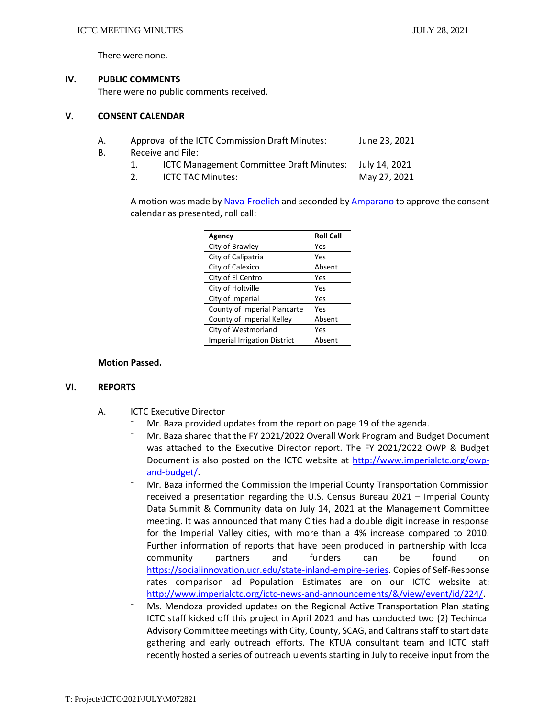There were none.

## **IV. PUBLIC COMMENTS**

There were no public comments received.

#### **V. CONSENT CALENDAR**

- A. Approval of the ICTC Commission Draft Minutes: June 23, 2021
- B. Receive and File:
	- 1. ICTC Management Committee Draft Minutes: July 14, 2021
	- 2. ICTC TAC Minutes: May 27, 2021

A motion was made by Nava-Froelich and seconded by Amparano to approve the consent calendar as presented, roll call:

| Agency                              | <b>Roll Call</b> |
|-------------------------------------|------------------|
| City of Brawley                     | Yes              |
| City of Calipatria                  | Yes              |
| City of Calexico                    | Absent           |
| City of El Centro                   | Yes              |
| City of Holtville                   | Yes              |
| City of Imperial                    | Yes              |
| County of Imperial Plancarte        | Yes              |
| County of Imperial Kelley           | Absent           |
| City of Westmorland                 | Yes              |
| <b>Imperial Irrigation District</b> | Absent           |

#### **Motion Passed.**

#### **VI. REPORTS**

- A. ICTC Executive Director
	- Mr. Baza provided updates from the report on page 19 of the agenda.
	- Mr. Baza shared that the FY 2021/2022 Overall Work Program and Budget Document was attached to the Executive Director report. The FY 2021/2022 OWP & Budget Document is also posted on the ICTC website at [http://www.imperialctc.org/owp](http://www.imperialctc.org/owp-and-budget/)[and-budget/.](http://www.imperialctc.org/owp-and-budget/)
	- ⁻ Mr. Baza informed the Commission the Imperial County Transportation Commission received a presentation regarding the U.S. Census Bureau 2021 – Imperial County Data Summit & Community data on July 14, 2021 at the Management Committee meeting. It was announced that many Cities had a double digit increase in response for the Imperial Valley cities, with more than a 4% increase compared to 2010. Further information of reports that have been produced in partnership with local community partners and funders can be found on [https://socialinnovation.ucr.edu/state-inland-empire-series.](https://socialinnovation.ucr.edu/state-inland-empire-series) Copies of Self-Response rates comparison ad Population Estimates are on our ICTC website at: [http://www.imperialctc.org/ictc-news-and-announcements/&/view/event/id/224/.](http://www.imperialctc.org/ictc-news-and-announcements/&/view/event/id/224/)
	- ⁻ Ms. Mendoza provided updates on the Regional Active Transportation Plan stating ICTC staff kicked off this project in April 2021 and has conducted two (2) Techincal Advisory Committee meetings with City, County, SCAG, and Caltrans staff to start data gathering and early outreach efforts. The KTUA consultant team and ICTC staff recently hosted a series of outreach u events starting in July to receive input from the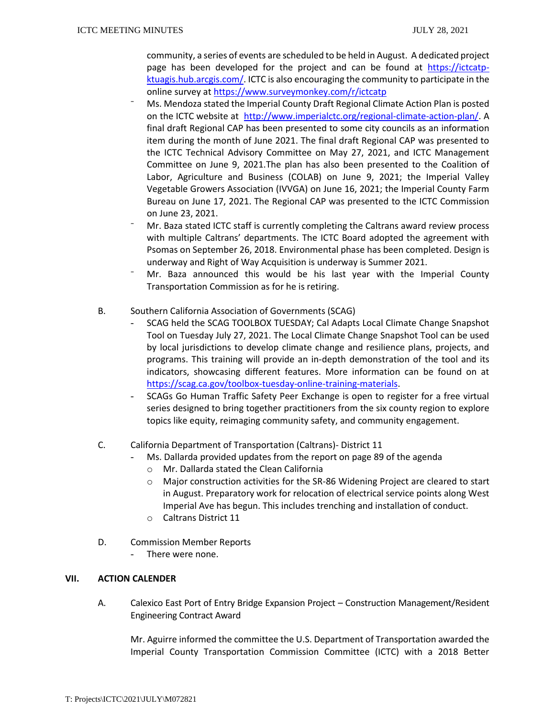community, a series of events are scheduled to be held in August. A dedicated project page has been developed for the project and can be found at [https://ictcatp](https://ictcatp-ktuagis.hub.arcgis.com/)[ktuagis.hub.arcgis.com/.](https://ictcatp-ktuagis.hub.arcgis.com/) ICTC is also encouraging the community to participate in the online survey a[t https://www.surveymonkey.com/r/ictcatp](https://www.surveymonkey.com/r/ictcatp)

- ⁻ Ms. Mendoza stated the Imperial County Draft Regional Climate Action Plan is posted on the ICTC website at [http://www.imperialctc.org/regional-climate-action-plan/.](http://www.imperialctc.org/regional-climate-action-plan/) A final draft Regional CAP has been presented to some city councils as an information item during the month of June 2021. The final draft Regional CAP was presented to the ICTC Technical Advisory Committee on May 27, 2021, and ICTC Management Committee on June 9, 2021.The plan has also been presented to the Coalition of Labor, Agriculture and Business (COLAB) on June 9, 2021; the Imperial Valley Vegetable Growers Association (IVVGA) on June 16, 2021; the Imperial County Farm Bureau on June 17, 2021. The Regional CAP was presented to the ICTC Commission on June 23, 2021.
- ⁻ Mr. Baza stated ICTC staff is currently completing the Caltrans award review process with multiple Caltrans' departments. The ICTC Board adopted the agreement with Psomas on September 26, 2018. Environmental phase has been completed. Design is underway and Right of Way Acquisition is underway is Summer 2021.
- Mr. Baza announced this would be his last year with the Imperial County Transportation Commission as for he is retiring.
- B. Southern California Association of Governments (SCAG)
	- SCAG held the SCAG TOOLBOX TUESDAY; Cal Adapts Local Climate Change Snapshot Tool on Tuesday July 27, 2021. The Local Climate Change Snapshot Tool can be used by local jurisdictions to develop climate change and resilience plans, projects, and programs. This training will provide an in-depth demonstration of the tool and its indicators, showcasing different features. More information can be found on at [https://scag.ca.gov/toolbox-tuesday-online-training-materials.](https://scag.ca.gov/toolbox-tuesday-online-training-materials)
	- SCAGs Go Human Traffic Safety Peer Exchange is open to register for a free virtual series designed to bring together practitioners from the six county region to explore topics like equity, reimaging community safety, and community engagement.
- C. California Department of Transportation (Caltrans)- District 11
	- Ms. Dallarda provided updates from the report on page 89 of the agenda
		- o Mr. Dallarda stated the Clean California
		- o Major construction activities for the SR-86 Widening Project are cleared to start in August. Preparatory work for relocation of electrical service points along West Imperial Ave has begun. This includes trenching and installation of conduct.
		- o Caltrans District 11
- D. Commission Member Reports
	- There were none.

# **VII. ACTION CALENDER**

A. Calexico East Port of Entry Bridge Expansion Project – Construction Management/Resident Engineering Contract Award

Mr. Aguirre informed the committee the U.S. Department of Transportation awarded the Imperial County Transportation Commission Committee (ICTC) with a 2018 Better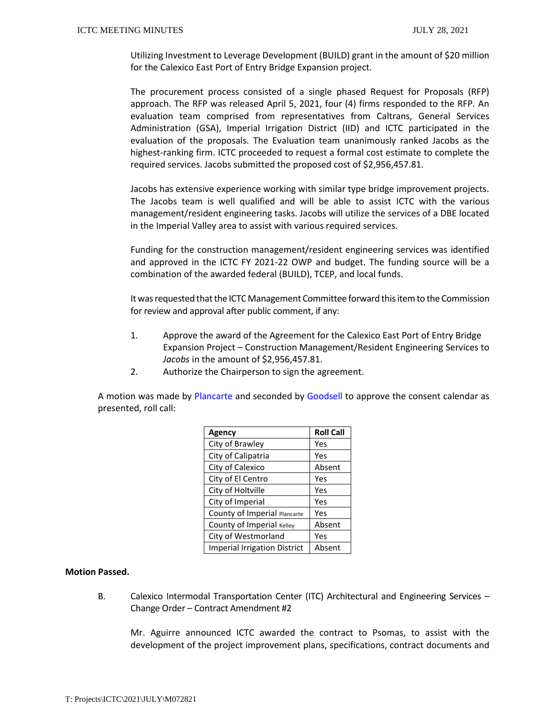Utilizing Investment to Leverage Development (BUILD) grant in the amount of \$20 million for the Calexico East Port of Entry Bridge Expansion project.

The procurement process consisted of a single phased Request for Proposals (RFP) approach. The RFP was released April 5, 2021, four (4) firms responded to the RFP. An evaluation team comprised from representatives from Caltrans, General Services Administration (GSA), Imperial Irrigation District (IID) and ICTC participated in the evaluation of the proposals. The Evaluation team unanimously ranked Jacobs as the highest-ranking firm. ICTC proceeded to request a formal cost estimate to complete the required services. Jacobs submitted the proposed cost of \$2,956,457.81.

Jacobs has extensive experience working with similar type bridge improvement projects. The Jacobs team is well qualified and will be able to assist ICTC with the various management/resident engineering tasks. Jacobs will utilize the services of a DBE located in the Imperial Valley area to assist with various required services.

Funding for the construction management/resident engineering services was identified and approved in the ICTC FY 2021-22 OWP and budget. The funding source will be a combination of the awarded federal (BUILD), TCEP, and local funds.

It was requested that the ICTC Management Committee forward this item to the Commission for review and approval after public comment, if any:

- 1. Approve the award of the Agreement for the Calexico East Port of Entry Bridge Expansion Project – Construction Management/Resident Engineering Services to *Jacobs* in the amount of \$2,956,457.81.
- 2. Authorize the Chairperson to sign the agreement.

A motion was made by Plancarte and seconded by Goodsell to approve the consent calendar as presented, roll call:

| Agency                              | <b>Roll Call</b> |
|-------------------------------------|------------------|
| City of Brawley                     | Yes              |
| City of Calipatria                  | Yes              |
| City of Calexico                    | Absent           |
| City of El Centro                   | Yes              |
| City of Holtville                   | Yes              |
| City of Imperial                    | Yes              |
| County of Imperial Plancarte        | Yes              |
| County of Imperial Kelley           | Absent           |
| City of Westmorland                 | Yes              |
| <b>Imperial Irrigation District</b> | Absent           |

#### **Motion Passed.**

B. Calexico Intermodal Transportation Center (ITC) Architectural and Engineering Services – Change Order – Contract Amendment #2

Mr. Aguirre announced ICTC awarded the contract to Psomas, to assist with the development of the project improvement plans, specifications, contract documents and